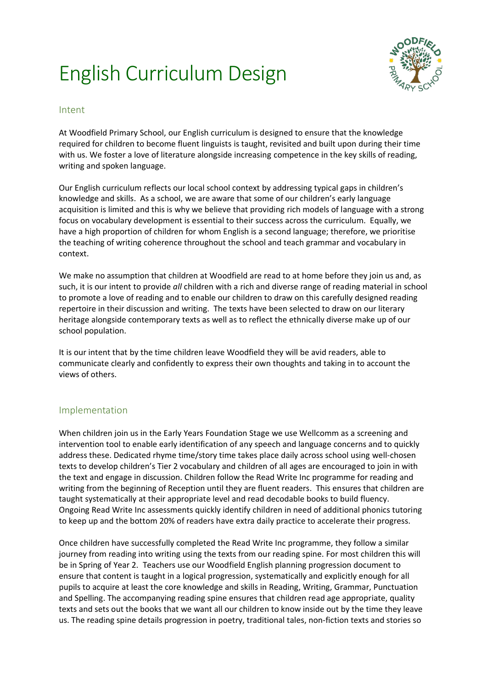## English Curriculum Design



## Intent

At Woodfield Primary School, our English curriculum is designed to ensure that the knowledge required for children to become fluent linguists is taught, revisited and built upon during their time with us. We foster a love of literature alongside increasing competence in the key skills of reading, writing and spoken language.

Our English curriculum reflects our local school context by addressing typical gaps in children's knowledge and skills. As a school, we are aware that some of our children's early language acquisition is limited and this is why we believe that providing rich models of language with a strong focus on vocabulary development is essential to their success across the curriculum. Equally, we have a high proportion of children for whom English is a second language; therefore, we prioritise the teaching of writing coherence throughout the school and teach grammar and vocabulary in context.

We make no assumption that children at Woodfield are read to at home before they join us and, as such, it is our intent to provide *all* children with a rich and diverse range of reading material in school to promote a love of reading and to enable our children to draw on this carefully designed reading repertoire in their discussion and writing. The texts have been selected to draw on our literary heritage alongside contemporary texts as well as to reflect the ethnically diverse make up of our school population.

It is our intent that by the time children leave Woodfield they will be avid readers, able to communicate clearly and confidently to express their own thoughts and taking in to account the views of others.

## Implementation

When children join us in the Early Years Foundation Stage we use Wellcomm as a screening and intervention tool to enable early identification of any speech and language concerns and to quickly address these. Dedicated rhyme time/story time takes place daily across school using well-chosen texts to develop children's Tier 2 vocabulary and children of all ages are encouraged to join in with the text and engage in discussion. Children follow the Read Write Inc programme for reading and writing from the beginning of Reception until they are fluent readers. This ensures that children are taught systematically at their appropriate level and read decodable books to build fluency. Ongoing Read Write Inc assessments quickly identify children in need of additional phonics tutoring to keep up and the bottom 20% of readers have extra daily practice to accelerate their progress.

Once children have successfully completed the Read Write Inc programme, they follow a similar journey from reading into writing using the texts from our reading spine. For most children this will be in Spring of Year 2. Teachers use our Woodfield English planning progression document to ensure that content is taught in a logical progression, systematically and explicitly enough for all pupils to acquire at least the core knowledge and skills in Reading, Writing, Grammar, Punctuation and Spelling. The accompanying reading spine ensures that children read age appropriate, quality texts and sets out the books that we want all our children to know inside out by the time they leave us. The reading spine details progression in poetry, traditional tales, non-fiction texts and stories so